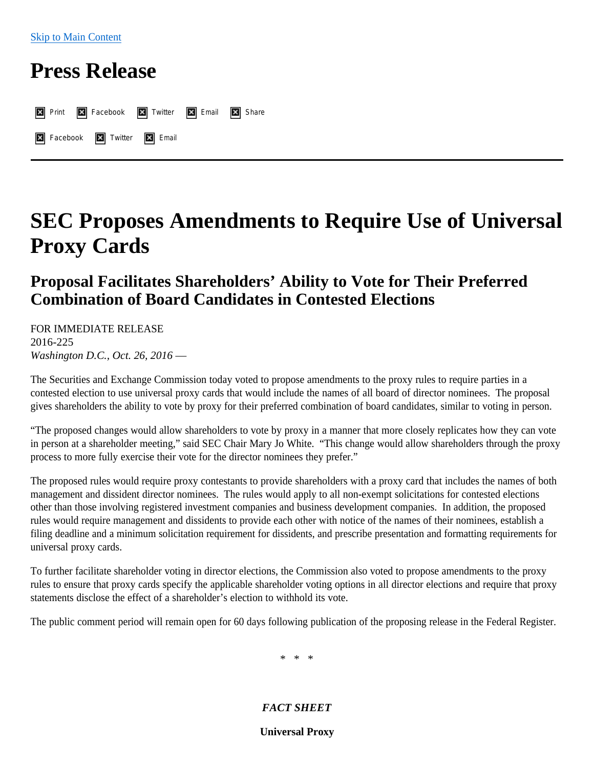## **Press Release**

| <b>X</b> Print <b>X</b> Facebook <b>X</b> Twitter <b>X</b> Email <b>X</b> Share |  |  |
|---------------------------------------------------------------------------------|--|--|
| X Facebook X Twitter X Email                                                    |  |  |

# **SEC Proposes Amendments to Require Use of Universal Proxy Cards**

## **Proposal Facilitates Shareholders' Ability to Vote for Their Preferred Combination of Board Candidates in Contested Elections**

FOR IMMEDIATE RELEASE 2016-225 *Washington D.C., Oct. 26, 2016* —

The Securities and Exchange Commission today voted to propose amendments to the proxy rules to require parties in a contested election to use universal proxy cards that would include the names of all board of director nominees. The proposal gives shareholders the ability to vote by proxy for their preferred combination of board candidates, similar to voting in person.

"The proposed changes would allow shareholders to vote by proxy in a manner that more closely replicates how they can vote in person at a shareholder meeting," said SEC Chair Mary Jo White. "This change would allow shareholders through the proxy process to more fully exercise their vote for the director nominees they prefer."

The proposed rules would require proxy contestants to provide shareholders with a proxy card that includes the names of both management and dissident director nominees. The rules would apply to all non-exempt solicitations for contested elections other than those involving registered investment companies and business development companies. In addition, the proposed rules would require management and dissidents to provide each other with notice of the names of their nominees, establish a filing deadline and a minimum solicitation requirement for dissidents, and prescribe presentation and formatting requirements for universal proxy cards.

To further facilitate shareholder voting in director elections, the Commission also voted to propose amendments to the proxy rules to ensure that proxy cards specify the applicable shareholder voting options in all director elections and require that proxy statements disclose the effect of a shareholder's election to withhold its vote.

The public comment period will remain open for 60 days following publication of the proposing release in the Federal Register.

\* \* \*

#### *FACT SHEET*

**Universal Proxy**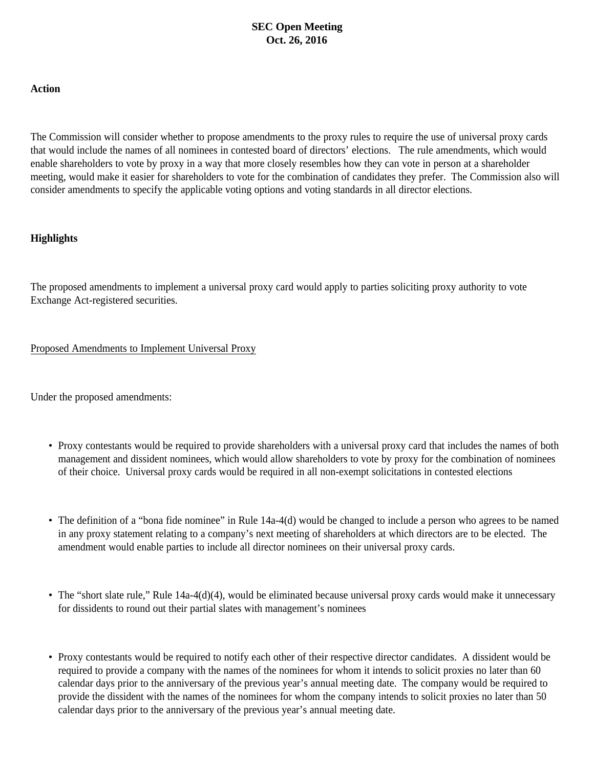#### **SEC Open Meeting Oct. 26, 2016**

#### **Action**

The Commission will consider whether to propose amendments to the proxy rules to require the use of universal proxy cards that would include the names of all nominees in contested board of directors' elections. The rule amendments, which would enable shareholders to vote by proxy in a way that more closely resembles how they can vote in person at a shareholder meeting, would make it easier for shareholders to vote for the combination of candidates they prefer. The Commission also will consider amendments to specify the applicable voting options and voting standards in all director elections.

#### **Highlights**

The proposed amendments to implement a universal proxy card would apply to parties soliciting proxy authority to vote Exchange Act-registered securities.

#### Proposed Amendments to Implement Universal Proxy

Under the proposed amendments:

- Proxy contestants would be required to provide shareholders with a universal proxy card that includes the names of both management and dissident nominees, which would allow shareholders to vote by proxy for the combination of nominees of their choice. Universal proxy cards would be required in all non-exempt solicitations in contested elections
- The definition of a "bona fide nominee" in Rule 14a-4(d) would be changed to include a person who agrees to be named in any proxy statement relating to a company's next meeting of shareholders at which directors are to be elected. The amendment would enable parties to include all director nominees on their universal proxy cards.
- The "short slate rule," Rule 14a-4(d)(4), would be eliminated because universal proxy cards would make it unnecessary for dissidents to round out their partial slates with management's nominees
- Proxy contestants would be required to notify each other of their respective director candidates. A dissident would be required to provide a company with the names of the nominees for whom it intends to solicit proxies no later than 60 calendar days prior to the anniversary of the previous year's annual meeting date. The company would be required to provide the dissident with the names of the nominees for whom the company intends to solicit proxies no later than 50 calendar days prior to the anniversary of the previous year's annual meeting date.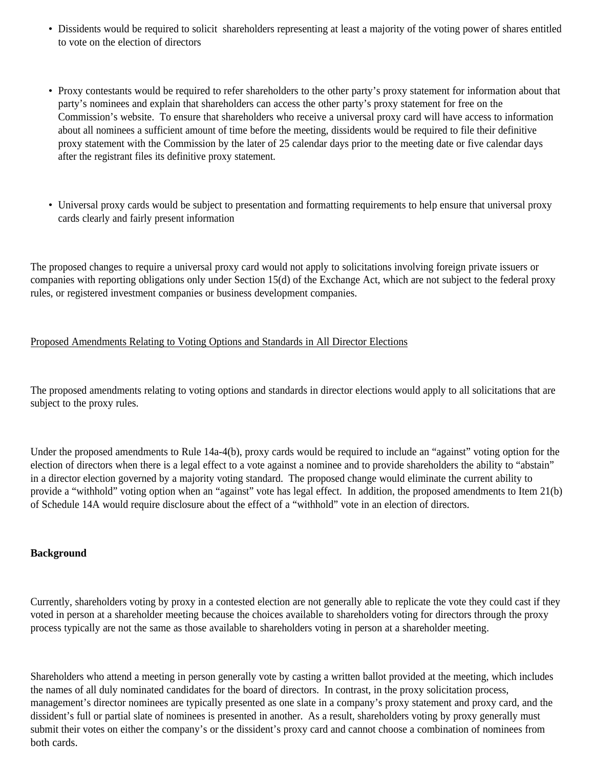- Dissidents would be required to solicit shareholders representing at least a majority of the voting power of shares entitled to vote on the election of directors
- Proxy contestants would be required to refer shareholders to the other party's proxy statement for information about that party's nominees and explain that shareholders can access the other party's proxy statement for free on the Commission's website. To ensure that shareholders who receive a universal proxy card will have access to information about all nominees a sufficient amount of time before the meeting, dissidents would be required to file their definitive proxy statement with the Commission by the later of 25 calendar days prior to the meeting date or five calendar days after the registrant files its definitive proxy statement.
- Universal proxy cards would be subject to presentation and formatting requirements to help ensure that universal proxy cards clearly and fairly present information

The proposed changes to require a universal proxy card would not apply to solicitations involving foreign private issuers or companies with reporting obligations only under Section 15(d) of the Exchange Act, which are not subject to the federal proxy rules, or registered investment companies or business development companies.

#### Proposed Amendments Relating to Voting Options and Standards in All Director Elections

The proposed amendments relating to voting options and standards in director elections would apply to all solicitations that are subject to the proxy rules.

Under the proposed amendments to Rule 14a-4(b), proxy cards would be required to include an "against" voting option for the election of directors when there is a legal effect to a vote against a nominee and to provide shareholders the ability to "abstain" in a director election governed by a majority voting standard. The proposed change would eliminate the current ability to provide a "withhold" voting option when an "against" vote has legal effect. In addition, the proposed amendments to Item 21(b) of Schedule 14A would require disclosure about the effect of a "withhold" vote in an election of directors.

#### **Background**

Currently, shareholders voting by proxy in a contested election are not generally able to replicate the vote they could cast if they voted in person at a shareholder meeting because the choices available to shareholders voting for directors through the proxy process typically are not the same as those available to shareholders voting in person at a shareholder meeting.

Shareholders who attend a meeting in person generally vote by casting a written ballot provided at the meeting, which includes the names of all duly nominated candidates for the board of directors. In contrast, in the proxy solicitation process, management's director nominees are typically presented as one slate in a company's proxy statement and proxy card, and the dissident's full or partial slate of nominees is presented in another. As a result, shareholders voting by proxy generally must submit their votes on either the company's or the dissident's proxy card and cannot choose a combination of nominees from both cards.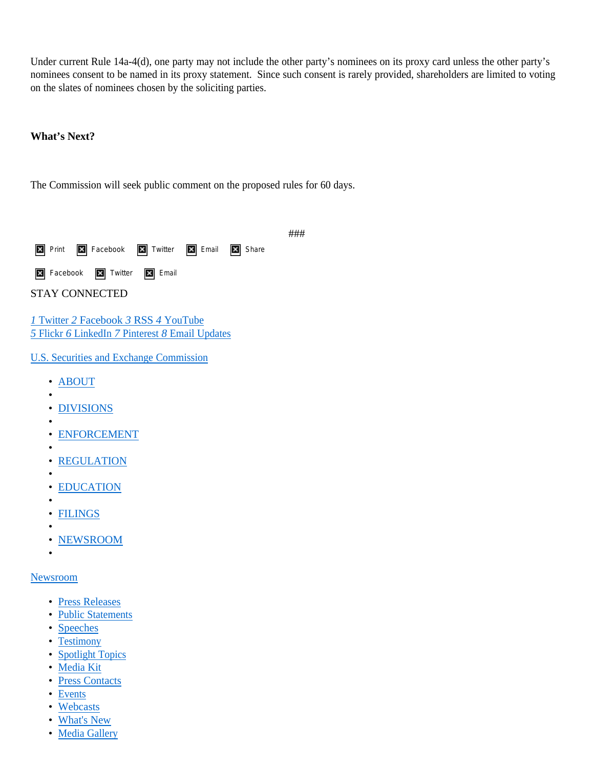Under current Rule 14a-4(d), one party may not include the other party's nominees on its proxy card unless the other party's nominees consent to be named in its proxy statement. Since such consent is rarely provided, shareholders are limited to voting on the slates of nominees chosen by the soliciting parties.

###

#### **What's Next?**

The Commission will seek public comment on the proposed rules for 60 days.

| <b>X</b> Print <b>X</b> Facebook <b>X</b> Twitter <b>X</b> Email <b>X</b> Share |  |  |
|---------------------------------------------------------------------------------|--|--|
| <b>X</b> Facebook <b>X</b> Twitter <b>X</b> Email                               |  |  |

STAY CONNECTED

*1* [Twitter](http://www.sec.gov/news/socialmedia.shtml) *2* [Facebook](http://www.sec.gov/news/socialmedia.shtml) *3* [RSS](http://www.sec.gov/about/secrss.shtml) *4* [YouTube](https://www.youtube.com/user/SECViews/videos)  *5* [Flickr](https://www.flickr.com/photos/67083337@N02) *6* [LinkedIn](https://www.linkedin.com/company/us-securities-and-exchange-commission?trk=mini-profile) *7* [Pinterest](https://www.pinterest.com/secgov) *8* [Email Updates](https://public.govdelivery.com/accounts/USSEC/subscriber/new)

[U.S. Securities and Exchange Commission](http://www.sec.gov/index.htm)

- [ABOUT](http://www.sec.gov/about.shtml)
- [DIVISIONS](http://www.sec.gov/divisions.shtml)
- •

•

- [ENFORCEMENT](http://www.sec.gov/litigation.shtml)
- •
- [REGULATION](http://www.sec.gov/rules.shtml)
- • [EDUCATION](http://www.sec.gov/investor.shtml)
- •
- [FILINGS](http://www.sec.gov/edgar.shtml)
- • [NEWSROOM](http://www.sec.gov/news)

#### [Newsroom](http://www.sec.gov/News/Page/Landing/Page/1356125649504)

•

- [Press Releases](http://www.sec.gov/News/Page/List/Page/1356125649507)
- [Public Statements](http://www.sec.gov/News/Page/List/Page/1356125649569)
- [Speeches](http://www.sec.gov/News/Page/List/Page/1356125649549)
- [Testimony](http://www.sec.gov/News/Page/List/Page/1356125649559)
- [Spotlight Topics](http://www.sec.gov/spotlight.shtml)
- [Media Kit](http://www.sec.gov/oacq/Article/mediakit.html)
- [Press Contacts](https://www.sec.gov/opa)
- [Events](http://www.sec.gov/about/upcoming-events.htm)
- [Webcasts](http://www.sec.gov/news/webcasts.shtml)
- [What's New](http://www.sec.gov/news/whatsnew/wn-today.shtml)
- [Media Gallery](http://www.sec.gov/news/media-gallery)